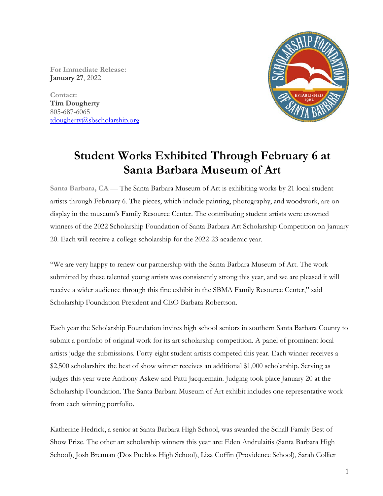**For Immediate Release: January 27**, 2022

**Contact: Tim Dougherty** 805-687-6065 [tdougherty@sbscholarship.org](mailto:tdougherty@sbscholarship.org)



## **Student Works Exhibited Through February 6 at Santa Barbara Museum of Art**

**Santa Barbara, CA** — The Santa Barbara Museum of Art is exhibiting works by 21 local student artists through February 6. The pieces, which include painting, photography, and woodwork, are on display in the museum's Family Resource Center. The contributing student artists were crowned winners of the 2022 Scholarship Foundation of Santa Barbara Art Scholarship Competition on January 20. Each will receive a college scholarship for the 2022-23 academic year.

"We are very happy to renew our partnership with the Santa Barbara Museum of Art. The work submitted by these talented young artists was consistently strong this year, and we are pleased it will receive a wider audience through this fine exhibit in the SBMA Family Resource Center," said Scholarship Foundation President and CEO Barbara Robertson.

Each year the Scholarship Foundation invites high school seniors in southern Santa Barbara County to submit a portfolio of original work for its art scholarship competition. A panel of prominent local artists judge the submissions. Forty-eight student artists competed this year. Each winner receives a \$2,500 scholarship; the best of show winner receives an additional \$1,000 scholarship. Serving as judges this year were Anthony Askew and Patti Jacquemain. Judging took place January 20 at the Scholarship Foundation. The Santa Barbara Museum of Art exhibit includes one representative work from each winning portfolio.

Katherine Hedrick, a senior at Santa Barbara High School, was awarded the Schall Family Best of Show Prize. The other art scholarship winners this year are: Eden Andrulaitis (Santa Barbara High School), Josh Brennan (Dos Pueblos High School), Liza Coffin (Providence School), Sarah Collier